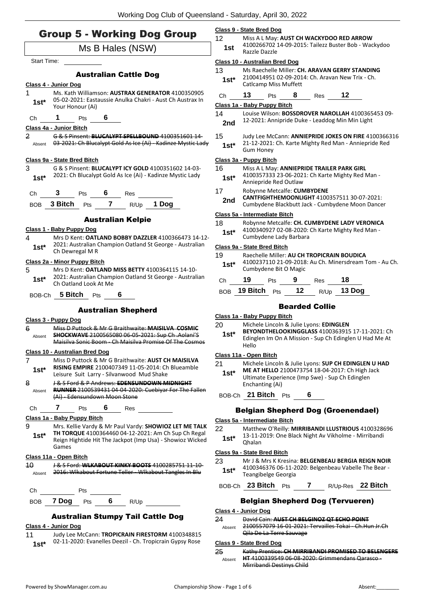# Group 5 - Working Dog Group

|                  | sioup J - working bog Sioup<br>Ms B Hales (NSW)                                                                                                                                     |
|------------------|-------------------------------------------------------------------------------------------------------------------------------------------------------------------------------------|
| Start Time:      |                                                                                                                                                                                     |
|                  |                                                                                                                                                                                     |
|                  | <b>Australian Cattle Dog</b>                                                                                                                                                        |
| 1<br>$1st^*$     | Class 4 - Junior Dog<br>Ms. Kath Williamson: AUSTRAX GENERATOR 4100350905<br>05-02-2021: Eastaussie Anulka Chakri - Aust Ch Austrax In<br>Your Honour (Ai)                          |
| Ch <sub>am</sub> | 1<br>6<br>Pts                                                                                                                                                                       |
|                  | Class 4a - Junior Bitch                                                                                                                                                             |
| 2                | G & S Pinsent: BLUCALYPT SPELLBOUND 4100351601 14<br>Absent 03-2021: Ch Blucalypt Gold As Ice (Ai) - Kadinze Mystic Lady                                                            |
|                  | Class 9a - State Bred Bitch                                                                                                                                                         |
| 3<br>$1st^*$     | G & S Pinsent: BLUCALYPT ICY GOLD 4100351602 14-03-<br>2021: Ch Blucalypt Gold As Ice (Ai) - Kadinze Mystic Lady                                                                    |
| Сh               | 3 <sup>7</sup><br>$6 -$<br>Pts<br>Res                                                                                                                                               |
|                  | $\overline{7}$<br>R/Up 1 Dog<br>BOB 3 Bitch<br>Pts                                                                                                                                  |
|                  |                                                                                                                                                                                     |
|                  | <b>Australian Kelpie</b>                                                                                                                                                            |
| 4<br>1st* i      | Class 1 - Baby Puppy Dog<br>Mrs D Kent: <b>OATLAND BOBBY DAZZLER</b> 4100366473 14-12-<br>2021: Australian Champion Oatland St George - Australian                                  |
|                  | Ch Dewregal M R                                                                                                                                                                     |
| 5<br>$1st^*$     | Class 2a - Minor Puppy Bitch<br>Mrs D Kent: OATLAND MISS BETTY 4100364115 14-10-<br>2021: Australian Champion Oatland St George - Australian<br>Ch Oatland Look At Me               |
|                  | BOB-Ch 5 Bitch Pts<br>6                                                                                                                                                             |
|                  | <b>Australian Shepherd</b>                                                                                                                                                          |
|                  | <u> Class 3 - Puppy Dog</u>                                                                                                                                                         |
| 6<br>Absent      | Miss D Puttock & Mr G Braithwaite: MAISILVA COSMIC<br><b>SHOCKWAVE 2100565080 06 05 2021: Sup Ch. Aolani'S</b><br>Maisilya Sonic Boom - Ch Maisilya Promise Of The Cosmos           |
|                  | Class 10 - Australian Bred Dog                                                                                                                                                      |
| 7<br>1st*        | Miss D Puttock & Mr G Braithwaite: AUST CH MAISILVA<br>RISING EMPIRE 2100407349 11-05-2014: Ch Blueamble<br>Leisure Suit Larry - Silvanwood Mud Shake                               |
| 8                | J& S Ford & P Andrews: EDENSUNDOWN MIDNIGHT                                                                                                                                         |
| Absent           | RUNNER 2100539431 04-04-2020: Cuebiyar For The Fallen<br>(Ai) Edensundown Moon Stone                                                                                                |
| Сh               | 7<br>6<br><b>Res</b><br>Pts                                                                                                                                                         |
|                  | Class 1a - Baby Puppy Bitch                                                                                                                                                         |
| 9<br>1st*        | Mrs. Kellie Vardy & Mr Paul Vardy: SHOWIOZ LET ME TALK<br>TH TORQUE 4100364460 04-12-2021: Am Ch Sup Ch Regal<br>Reign Hightide Hit The Jackpot (Imp Usa) - Showioz Wicked<br>Games |
|                  | Class 11a - Open Bitch                                                                                                                                                              |
| 10<br>Absent     | <del>J &amp; S Ford: <b>WLKABOUT KINKY BOOTS</b> 4100285751 11 10 -</del><br>2016: Wikabout Fortune Teller - Wikabout Tangles In Blu                                                |
| Ch               | Pts                                                                                                                                                                                 |
| BOB.             | 6<br>7 Dog<br>Pts<br>R/Up                                                                                                                                                           |
|                  | <b>Australian Stumpy Tail Cattle Dog</b>                                                                                                                                            |
|                  | Class 4 - Junior Dog                                                                                                                                                                |
|                  |                                                                                                                                                                                     |

11 Judy Lee McCann: **TROPICRAIN FIRESTORM** 4100348815 02-11-2020: Evanelles Deezil - Ch. Tropicrain Gypsy Rose **1st\***

#### **Class 9 - State Bred Dog**

12 Miss A L May: **AUST CH WACKYDOO RED ARROW** 4100266702 14-09-2015: Tailezz Buster Bob - Wackydoo 1st <sup>4100200702</sup>

#### **Class 10 - Australian Bred Dog**

13 Ms Raechelle Miller: **CH. ARAVAN GERRY STANDING** 2100414951 02-09-2014: Ch. Aravan New Trix - Ch. **1st**\* <sup>2100414951 02-09-201<br>Catlcamp Miss Muffett</sup>

# Ch **13** Pts **8** Res **12**

## **Class 1a - Baby Puppy Bitch**

14 Louise Wilson: **BOSSDROVER NAROLLAH** 4100365453 09- 12-2021: Annipride Duke - Leaddog Min Min Light **2nd**

15 Judy Lee McCann: **ANNIEPRIDE JOKES ON FIRE** 4100366316 21-12-2021: Ch. Karte Mighty Red Man - Anniepride Red 1st<sup>\*</sup> <sup>21-12-2021:</sup><br>Gum Honey

#### **Class 3a - Puppy Bitch**

## 16 Miss A L May: **ANNIEPRIDE TRAILER PARK GIRL**

4100357333 23-06-2021: Ch Karte Mighty Red Man - Anniepride Red Outlaw **1st\***

#### 17 Robynne Metcalfe: **CUMBYDENE**

- **CANTFIGHTHEMOONLIGHT** 4100357511 30-07-2021:
- **2nd CANTFIGHTHEMOONLIGHT** 4100357511 30-07-2021:<br>Cumbydene Blackbutt Jack Cumbydene Moon Dancer

## **Class 5a - Intermediate Bitch**

## 18 Robynne Metcalfe: **CH. CUMBYDENE LADY VERONICA**

4100340927 02-08-2020: Ch Karte Mighty Red Man - Cumbydene Lady Barbara **1st\***

## **Class 9a - State Bred Bitch**

- 19 Raechelle Miller: **AU CH TROPICRAIN BOUDICA**
- 4100237110 21-09-2018: Au Ch. Minersdream Tom Au Ch. Cumbydene Bit O Magic **1st\***

| Ch | 19               | <b>Pts</b> | - 9 | <b>Res</b> | 18            |
|----|------------------|------------|-----|------------|---------------|
|    | BOB 19 Bitch Pts |            | 12  |            | $R/Up$ 13 Dog |

## Bearded Collie

## **Class 1a - Baby Puppy Bitch**

## 20 Michele Lincoln & Julie Lyons: **EDINGLEN**

**BEYONDTHELOOKINGGLASS** 4100363915 17-11-2021: Ch Edinglen Im On A Mission - Sup Ch Edinglen U Had Me At Hello **1st\***

## **Class 11a - Open Bitch**

- 21 Michele Lincoln & Julie Lyons: **SUP CH EDINGLEN U HAD**
- **ME AT HELLO** 2100473754 18-04-2017: Ch High Jack Ultimate Experience (Imp Swe) - Sup Ch Edinglen Enchanting (Ai) **1st\***

## BOB-Ch **21 Bitch** Pts **6**

## Belgian Shepherd Dog (Groenendael)

## **Class 5a - Intermediate Bitch**

- 22 Matthew O'Reilly: **MIRRIBANDI LLUSTRIOUS** 4100328696
- 13-11-2019: One Black Night Av Vikholme Mirribandi **1st**\*  $\frac{13-11}{9}$

## **Class 9a - State Bred Bitch**

- 23 Mr J & Mrs K Kresina: **BELGENBEAU BERGIA REIGN NOIR** 4100346376 06-11-2020: Belgenbeau Vabelle The Bear - Teangibelge Georgia **1st\***
- BOB-Ch **23 Bitch** Pts **7** R/Up-Res **22 Bitch**

## Belgian Shepherd Dog (Tervueren)

## **Class 4 - Junior Dog**

24 David Cain: **AUST CH BELGINOZ QT ECHO POINT** 2100557079 16-01-2021: Tervailles Tokai - Ch.Hun Jr.Ch Qila De La Terre Sauvage Absent

## **Class 9 - State Bred Dog**

25 Kathy Prentice: **CH MIRRIBANDI PROMISED TO BELENGERE HT** 4100339549 06-08-2020: Grimmendans Qarasco - Mirribandi Destinys Child Absent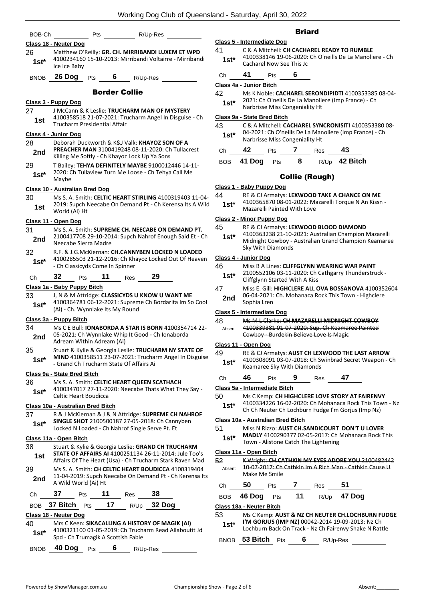| BOB-Ch      |                                          | Pts                                             | R/Up-Res             |                                                                                                             |
|-------------|------------------------------------------|-------------------------------------------------|----------------------|-------------------------------------------------------------------------------------------------------------|
|             | Class 18 - Neuter Dog                    |                                                 |                      |                                                                                                             |
| 26          |                                          |                                                 |                      | Matthew O'Reilly: GR. CH. MIRRIBANDI LUXEM ET WPD                                                           |
| 1st*        | Ice Ice Baby                             |                                                 |                      | 4100234160 15-10-2013: Mirribandi Voltairre - Mirribandi                                                    |
| <b>BNOB</b> | 26 Dog                                   | <b>Pts</b>                                      | 6 —<br>R/Up-Res      |                                                                                                             |
|             |                                          |                                                 | <b>Border Collie</b> |                                                                                                             |
|             | Class 3 - Puppy Dog                      |                                                 |                      |                                                                                                             |
| 27<br>1st   |                                          | Trucharm Presidential Affair                    |                      | J McCann & K Leslie: TRUCHARM MAN OF MYSTERY<br>4100358518 21-07-2021: Trucharm Angel In Disguise - Ch      |
|             | Class 4 - Junior Dog                     |                                                 |                      |                                                                                                             |
| 28          |                                          |                                                 |                      | Deborah Duckworth & K&J Valk: KHAYOZ SON OF A                                                               |
| 2nd         |                                          | Killing Me Softly - Ch Khayoz Lock Up Ya Sons   |                      | PREACHER MAN 3100419248 08-11-2020: Ch Tullacrest                                                           |
| 29          |                                          |                                                 |                      | T Bailey: TEHYA DEFINITELY MAYBE 9100012446 14-11-<br>2020: Ch Tullaview Turn Me Loose - Ch Tehya Call Me   |
| 1st*        | Maybe                                    |                                                 |                      |                                                                                                             |
|             | Class 10 - Australian Bred Dog           |                                                 |                      |                                                                                                             |
| 30          |                                          |                                                 |                      | Ms S. A. Smith: CELTIC HEART STIRLING 4100319403 11-04-                                                     |
| 1st         | World (Ai) Ht                            |                                                 |                      | 2019: Supch Neecabe On Demand Pt - Ch Kerensa Its A Wild                                                    |
|             |                                          |                                                 |                      |                                                                                                             |
| 31          | Class 11 - Open Dog                      |                                                 |                      | Ms S. A. Smith: SUPREME CH. NEECABE ON DEMAND PT.                                                           |
| 2nd         |                                          |                                                 |                      | 2100417708 29-10-2014: Supch Nahrof Enough Said Et - Ch                                                     |
|             | Neecabe Sierra Madre                     |                                                 |                      |                                                                                                             |
| 32          |                                          |                                                 |                      | R.F. & J.G.McKiernan: CH.CANNYBEN LOCKED N LOADED                                                           |
| 1st*        |                                          | - Ch Classicyds Come In Spinner                 |                      | 4100285503 21-12-2016: Ch Khayoz Locked Out Of Heaven                                                       |
| Сh          | 32<br>Pts                                | 11                                              | Restantial           | 29                                                                                                          |
|             | Class 1a - Baby Puppy Bitch              |                                                 |                      |                                                                                                             |
| 33          |                                          |                                                 |                      | J, N & M Attridge: CLASSICYDS U KNOW U WANT ME                                                              |
| $1st*$      |                                          | (Ai) - Ch. Wynnlake Its My Round                |                      | 4100364781 06-12-2021: Supreme Ch Bordarita Im So Cool                                                      |
|             | Class 3a - Puppy Bitch                   |                                                 |                      |                                                                                                             |
| 34          |                                          |                                                 |                      | Ms C E Bull: <b>IONABORDA A STAR IS BORN</b> 4100354714 22-                                                 |
| 2nd         |                                          | Adream Within Adream (Ai)                       |                      | 05-2021: Ch Wynnlake Whip It Good - Ch Ionaborda                                                            |
| 35          |                                          |                                                 |                      | Stuart & Kylie & Georgia Leslie: TRUCHARM NY STATE OF                                                       |
| 1st*        |                                          |                                                 |                      | MIND 4100358511 23-07-2021: Trucharm Angel In Disguise                                                      |
|             |                                          | - Grand Ch Trucharm State Of Affairs Ai         |                      |                                                                                                             |
|             | Class 9a - State Bred Bitch              |                                                 |                      |                                                                                                             |
| 36          |                                          |                                                 |                      | Ms S. A. Smith: CELTIC HEART QUEEN SCATHACH                                                                 |
| $1st*$      | Celtic Heart Boudicca                    |                                                 |                      | 4100347017 27-11-2020: Neecabe Thats What They Say -                                                        |
|             | <b>Class 10a - Australian Bred Bitch</b> |                                                 |                      |                                                                                                             |
| 37          |                                          |                                                 |                      | R & J McKiernan & J & N Attridge: SUPREME CH NAHROF                                                         |
| $1st^*$     |                                          |                                                 |                      | SINGLE SHOT 2100500187 27-05-2018: Ch Cannyben                                                              |
|             |                                          | Locked N Loaded - Ch Nahrof Single Serve Pt. Et |                      |                                                                                                             |
|             | Class 11a - Open Bitch                   |                                                 |                      |                                                                                                             |
| 38          |                                          |                                                 |                      | Stuart & Kylie & Georgia Leslie: GRAND CH TRUCHARM<br>STATE OF AFFAIRS AI 4100251134 26-11-2014: Jule Too's |
| 1st         |                                          |                                                 |                      | Affairs Of The Heart (Usa) - Ch Trucharm Stark Raven Mad                                                    |
| 39          |                                          |                                                 |                      | Ms S. A. Smith: CH CELTIC HEART BOUDICCA 4100319404                                                         |
| 2nd         | A Wild World (Ai) Ht                     |                                                 |                      | 11-04-2019: Supch Neecabe On Demand Pt - Ch Kerensa Its                                                     |
| Ch          | 37                                       | 11<br>Pts                                       | Res                  | 38                                                                                                          |
|             | BOB <b>37 Bitch</b> Pts                  | 17                                              |                      | R/Up 32 Dog                                                                                                 |
|             | Class 18 - Neuter Dog                    |                                                 |                      |                                                                                                             |
| 40          |                                          |                                                 |                      | Mrs C Keen: SIKACALLING A HISTORY OF MAGIK (AI)                                                             |
| $1st*$      |                                          |                                                 |                      | 4100321100 01-05-2019: Ch Trucharm Read Allaboutit Jd                                                       |
|             |                                          | Spd - Ch Trumagik A Scottish Fable              |                      |                                                                                                             |
| <b>BNOB</b> | 40 Dog Pts                               | 6                                               | R/Up-Res             |                                                                                                             |

## **Briard**

|        | <b>Class 5 - Intermediate Dog</b>                                                   |
|--------|-------------------------------------------------------------------------------------|
| 41     | C & A Mitchell: CH CACHAREL READY TO RUMBLE                                         |
| $1st*$ | 4100338146 19-06-2020: Ch O'neills De La Manoliere - Ch<br>Cacharel Now See This Jc |

## Ch **41** Pts **6**

## **Class 4a - Junior Bitch**

| 42 | Ms K Noble: CACHAREL SERONDIPIDTI 4100353385 08-04- |
|----|-----------------------------------------------------|
|    |                                                     |

2021: Ch O'neills De La Manoliere (Imp France) - Ch **1st\*** 2021: Ch O'neills De La Manolie<br>Narbrisse Miss Congeniality Ht

## **Class 9a - State Bred Bitch**

| 43     | C & A Mitchell: CACHAREL SYNCRONISITI 4100353380 08-   |
|--------|--------------------------------------------------------|
| $1st*$ | 04-2021: Ch O'neills De La Manoliere (Imp France) - Ch |
|        | Narbrisse Miss Congeniality Ht                         |

| ~<br>ı | $-$ | __ |  |
|--------|-----|----|--|
|        |     |    |  |

| <b>BOB</b> | 41 Dog | <b>Pts</b> |  | $R/Up$ 42 Bitch |
|------------|--------|------------|--|-----------------|
|            |        |            |  |                 |

## Collie (Rough)

## **Class 1 - Baby Puppy Dog**

- 44 RE & CJ Armatys: **LEXWOOD TAKE A CHANCE ON ME**
	- 4100365870 08-01-2022: Mazarelli Torque N An Kissn -
	- **1st**\* 4100365870 08-01-2022: Maxarelli Painted With Love

## **Class 2 - Minor Puppy Dog**

- 45 RE & CJ Armatys: **LEXWOOD BLOOD DIAMOND**
	- 4100363238 21-10-2021: Australian Champion Mazarelli Midnight Cowboy - Australian Grand Champion Keamaree Sky With Diamonds **1st\***

## **Class 4 - Junior Dog**

| 46 | Miss B A Lines: CLIFFGLYNN WEARING WAR PAINT |
|----|----------------------------------------------|
|----|----------------------------------------------|

- 2100552106 03-11-2020: Ch Cathgarry Thunderstruck 1st\* 2100552106 03-11-2020: Chiffglynn Started With A Kiss
- 47 Miss E. Gill: **HIGHCLERE ALL OVA BOSSANOVA** 4100352604 06-04-2021: Ch. Mohanaca Rock This Town - Highclere **2nd** <sup>00-04-2021</sup>

## **Class 5 - Intermediate Dog**

| 48     | Ms M L Clarke: CH MAZARELLI MIDNIGHT COWBOY     |
|--------|-------------------------------------------------|
| Absent | 4100339381 01-07-2020: Sup. Ch Keamaree Painted |
|        | Cowboy - Burdekin Believe Love Is Magic         |

## **Class 11 - Open Dog**

- 49 RE & CJ Armatys: **AUST CH LEXWOOD THE LAST ARROW** 4100308091 03-07-2018: Ch Swinbrad Secret Weapon - Ch 1st\* 4100308091 03-07-2018: Ch St\* Keamaree Sky With Diamonds
- Ch **46** Pts **9** Res **47**

## **Class 5a - Intermediate Bitch**

- 50 Ms C Kemp: **CH HIGHCLERE LOVE STORY AT FAIRENVY**
	- 4100334226 16-02-2020: Ch Mohanaca Rock This Town Nz **1st** <sup>410033422b 16-02-2020: Ch Monanaca Rock This Tow<br>Ch Ch Neuter Ch Lochburn Fudge I'm Gorjus (Imp Nz)</sup>

## **Class 10a - Australian Bred Bitch**

- 51 Miss N Rizzo: **AUST CH.SANDICOURT DON'T U LOVER** 
	- **MADLY** 4100290377 02-05-2017: Ch Mohanaca Rock This **1st\* 1988** Town - Alistone Catch The Lightening

## **Class 11a - Open Bitch**

52 K Wright: **CH.CATHKIN MY EYES ADORE YOU** 2100482442 10-07-2017: Ch Cathkin Im A Rich Man - Cathkin Cause U Make Me Smile Absent

| Ch | 50             | <b>Pts</b> | Res | - 51                         |
|----|----------------|------------|-----|------------------------------|
|    | BOB 46 Dog Pts |            |     | <b>11</b> R/Up <b>47 Dog</b> |

## **Class 18a - Neuter Bitch**

53 Ms C Kemp: **AUST & NZ CH NEUTER CH.LOCHBURN FUDGE I'M GORJUS (IMP NZ)** 00042-2014 19-09-2013: Nz Ch Lochburn Back On Track - Nz Ch Fairenvy Shake N Rattle **1st\***

BNOB **53 Bitch** Pts **6** R/Up-Res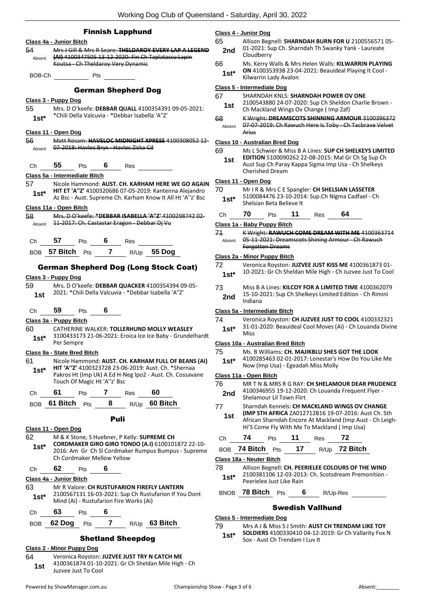|               | <b>Finnish Lapphund</b><br>Class 4a - Junior Bitch                                                                   | <u> Class 4 - Junio</u><br>65 | Allisc                  |
|---------------|----------------------------------------------------------------------------------------------------------------------|-------------------------------|-------------------------|
| 54            | Mrs J Gill & Mrs R Seare: THELDAROY EVERY LAP A LEGEND                                                               | 2nd                           | $01 - 20$               |
| Absent        | (AI) 4100347505 13-12-2020: Fin Ch Taplatassu Lapin                                                                  |                               | Cloud<br>Ms. k          |
|               | Koutsa - Ch Theldaroy Very Dynamic                                                                                   | 66<br>$1st*$                  | ON <sub>4</sub>         |
| BOB-Ch        | Pts                                                                                                                  |                               | Kilwa                   |
|               | <b>German Shepherd Dog</b>                                                                                           | Class 5 - Intern              |                         |
|               | <u> Class 3 - Puppy Dog</u>                                                                                          | 67                            | <b>SHAF</b><br>2100     |
| 55            | Mrs. D O'keefe: DEBBAR QUALL 4100354391 09-05-2021:                                                                  | 1st                           | Ch M                    |
| $1st*$        | *Chili Della Valcuvia - *Debbar Isabella 'A"Z'                                                                       | 68<br>Absent                  | K Wr<br>$07 - 0$        |
|               | Class 11 - Open Dog                                                                                                  |                               | Arius                   |
| 56<br>Absent  | Matt Rosam: HAVELOC MIDNIGHT XPRESS 4100308052 12<br>07-2018: Havloc Bryx - Havloc Ziska Cd                          | Class 10 - Aust               |                         |
|               |                                                                                                                      | 69                            | Ms L<br><b>EDITI</b>    |
| Ch            | 55 —<br>6 Res<br><b>Pts</b>                                                                                          | 1st                           | Aust                    |
|               | Class 5a - Intermediate Bitch                                                                                        |                               | Cheri                   |
| 57            | Nicole Hammond: AUST. CH. KARHAM HERE WE GO AGAIN                                                                    | Class 11 - Oper               |                         |
| $1st^*$       | HIT ET 'A"Z' 4100320686 07-05-2019: Kantenna Alejandro<br>Az Bsc - Aust. Supreme Ch. Karham Know It All Ht 'A"z' Bsc | 70                            | Mr I<br>5100            |
|               | Class 11a - Open Bitch                                                                                               | 1st*                          | Shels                   |
| 58            | Mrs. D O'keefe: *DEBBAR ISABELLA 'A"Z' 4100298742 02-                                                                | Ch                            | 70                      |
| Absent        | 11-2017: Ch. Castastar Eragon - Debbar Dj Vu                                                                         | <u> Class 1a - Baby</u>       |                         |
|               |                                                                                                                      | 71                            | <b>KWr</b>              |
| Ch            | 57<br>6<br><b>Pts</b><br>Res                                                                                         | Absent                        | $05-1.$<br><b>Forge</b> |
|               | 7 R/Up 55 Dog<br>BOB 57 Bitch Pts                                                                                    | <u> Class 2a - Minc</u>       |                         |
|               | <b>German Shepherd Dog (Long Stock Coat)</b>                                                                         | 72                            | Vero                    |
|               | Class 3 - Puppy Dog                                                                                                  | $1st^*$                       | $10 - 20$               |
| 59            | Mrs. D O'keefe: DEBBAR QUACKER 4100354394 09-05-                                                                     | 73                            | Miss                    |
| 1st           | 2021: * Chili Della Valcuvia - * Debbar Isabella 'A"Z'                                                               | 2nd                           | $15 - 10$               |
|               |                                                                                                                      |                               | India                   |
| Ch            | 59<br>6<br>Pts                                                                                                       | Class 5a - Inter              |                         |
|               | Class 3a - Puppy Bitch                                                                                               | 74                            | Vero<br>$31 - 0.2$      |
| 60<br>$1st^*$ | CATHERINE WALKER: TOLLERHUND MOLLY WEASLEY<br>3100433173 21-06-2021: Eroica Ice Ice Baby - Grundelhardt              | $1st^*$                       | Miss                    |
|               | Per Sempre<br>Class 9a - State Bred Bitch                                                                            | <u> Class 10a - Aus</u><br>75 | Ms. E                   |
| 61            | Nicole Hammond: AUST. CH. KARHAM FULL OF BEANS (AI)                                                                  | $1st^*$                       | 4100                    |
| $1st^*$       | <b>HIT 'A''Z'</b> 4100323728 23-06-2019: Aust. Ch. *Shernaa                                                          |                               | Now                     |
|               | Pakros Ht (Imp Uk) A Ed H-Neg Ipo2 - Aust. Ch. Cossavane<br>Touch Of Magic Ht 'A"z' Bsc                              | <u> Class 11a - Ope</u>       |                         |
|               | Pts 7 Res<br>60<br>61                                                                                                | 76                            | MR T<br>4100            |
| Ch            |                                                                                                                      | 2nd                           | Shela                   |
| BOB           | 61 Bitch Pts 8 R/Up 60 Bitch                                                                                         | 77                            | Sharr                   |
|               | <b>Puli</b>                                                                                                          | 1st                           | (IMP<br>Afric           |
|               | Class 11 - Open Dog                                                                                                  |                               | Hi'S (                  |
| 62            | M & K Stone, S Huebner, P Kelly: SUPREME CH                                                                          | Ch                            | 74                      |
| $1st^*$       | CORDMAKER GIRO GIRO TONDO (A.I) 6100101872 22-10-<br>2016: Am Gr Ch SI Cordmaker Rumpus Bumpus - Supreme             | BOB 74 Bi                     |                         |
|               | Ch Cordmaker Mellow Yellow                                                                                           | Class 18a - Neu               |                         |
| Ch            | 62<br>6<br>Pts                                                                                                       | 78                            | Allisc                  |
|               | Class 4a - Junior Bitch                                                                                              | $1st^*$                       | 2100<br>Peeri           |
|               | Mr R Valore: CH RUSTUFARION FIREFLY LANTERN                                                                          |                               |                         |
|               |                                                                                                                      | BNOB                          |                         |
| $1st^*$       | 2100567131 16-03-2021: Sup Ch Rustufarion If You Dont<br>Mind (Ai) - Rustufarion Fire Works (Ai)                     |                               |                         |
| Ch            | 63<br>6<br><b>Pts</b>                                                                                                |                               | 78 E                    |
| 63<br>BOB     | Pts 7 R/Up 63 Bitch<br>62 Dog                                                                                        | Class 5 - Intern<br>79        | Mrs                     |

## Shetland Sheepdog

**Class 2 - Minor Puppy Dog** 64 Veronica Royston: **JUZVEE JUST TRY N CATCH ME** 4100361874 01-10-2021: Gr Ch Sheldan Mile High - Ch Juzvee Just To Cool **1st**

## **Class 4 - Junior Dog**

- on Begnell: **SHARNDAH BURN FOR U** 2100556571 05-021: Sup Ch. Sharndah Th Swanky Yank - Laureate
- dberry Kerry Walls & Mrs Helen Walls: **KILWARRIN PLAYING**
- **ON** 4100353938 23-04-2021: Beauideal Playing It Cool arrin Lady Avalon

## **Class 5 - Intermediate Dog**

- 67 SHARNDAH KNLS: **SHARNDAH POWER OV ONE**
- 0543880 24-07-2020: Sup Ch Sheldon Charlie Brown -**Aackland Wings Ov Change (Imp Zaf)**
- 68 K Wright: **DREAMSCOTS SHINNING ARMOUR** 3100396372
- 7-2019: Ch Rawuch Here Is Toby Ch Tacbrave Velvet

## **Class 10 - Australian Bred Dog**

- Schwier & Miss B A Lines: **SUP CH SHELKEYS LIMITED**
- **EDITION** 5100090262 22-08-2015: Mal Gr Ch Sg Sup Ch Sup Ch Paray Kappa Sigma Imp Usa - Ch Shelkeys rished Dream

## **Class 11 - Open Dog**

| 70 | Mr I R & Mrs C E Spangler: CH SHELSIAN LASSETER |
|----|-------------------------------------------------|
|----|-------------------------------------------------|

- 5100084476 23-10-2014: Sup.Ch Nigma Cadfael Ch sian Beta Believe It
- Ch **70** Pts **11** Res **64**

## **Class 1a - Baby Puppy Bitch**

71 K Wright: **RAWUCH COME DREAM WITH ME** 4100363714 1-2021: Dreamscots Shining Armour - Ch Rawuch otten Dreams

## **Class 2a - Minor Puppy Bitch**

| 72      | Veronica Royston: JUZVEE JUST KISS ME 4100361873 01-      |
|---------|-----------------------------------------------------------|
| $1 - 1$ | 10-2021: Gr Ch Sheldan Mile High - Ch Juzvee Just To Cool |

- 
- B A Lines: **KILCOY FOR A LIMITED TIME** 4100362079 0-2021: Sup Ch Shelkeys Limited Edition - Ch Rimini 2nd <sup>15-10-2</sup><br>Indiana

## **Class 5a - Intermediate Bitch**

74 Veronica Royston: **CH JUZVEE JUST TO COOL** 4100332321 1-2020: Beauideal Cool Moves (Ai) - Ch Louanda Divine

## **Class 10a - Australian Bred Bitch**

## 75 Ms. B Williams: **CH. MAJIKBLU SHES GOT THE LOOK**

1285463 02-01-2017: Lonestar's How Do You Like Me (Imp Usa) - Egeadah Miss Molly

## **Class 11a - Open Bitch**

- 76 MR T N & MRS R G RAY: **CH SHELAMOUR DEAR PRUDENCE** 1346955 19-12-2020: Ch Louanda Frequent Flyer -
- amour Lil Town Flirt **ndah Kennels: CH MACKLAND WINGS OV CHANGE**
- **(IMP STH AFRICA** ZA012712B16 19-07-2016: Aust Ch. Sth
- an Sharndah Encore At Mackland (Imp Aust Ch Leigh-Come Fly With Me To Mackland (Imp Usa)

| $\sim$ | - | $\sim$ | __ |  |
|--------|---|--------|----|--|
|        |   |        |    |  |

| BOB 74 Bitch Pts |  | $R/UD$ 72 Bitch |
|------------------|--|-----------------|
|                  |  |                 |

## **Luter Bitch**

on Begnell: CH. PEERIELEE COLOURS OF THE WIND 2100381106 12-03-2013: Ch. Scotsdream Premonition - **Prielee Just Like Rain** 

**Bitch** Pts **6** R/Up-Res

## Swedish Vallhund

## **Class 5 - Intermediate Dog**

#### 79 Mrs A J & Miss S J Smith: **AUST CH TRENDAM LIKE TOY SOLDIERS** 4100330410 04-12-2019: Gr Ch Vallarity Fox N Sox - Aust Ch Trendam I Luv It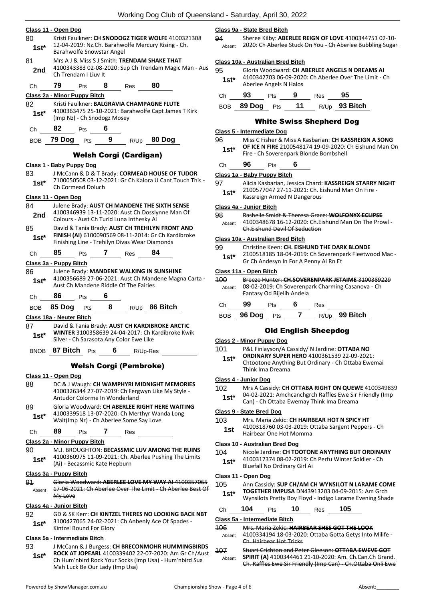|               | <u> Class 11 - Open Dog</u>                                                                                                                                        |  |  |  |  |  |  |
|---------------|--------------------------------------------------------------------------------------------------------------------------------------------------------------------|--|--|--|--|--|--|
| 80<br>1st*    | Kristi Faulkner: CH SNODOGZ TIGER WOLFE 4100321308<br>12-04-2019: Nz.Ch. Barahwolfe Mercury Rising - Ch.<br>Barahwolfe Snowstar Angel                              |  |  |  |  |  |  |
| 81            |                                                                                                                                                                    |  |  |  |  |  |  |
| 2nd           | Mrs A J & Miss S J Smith: TRENDAM SHAKE THAT<br>4100343383 02-08-2020: Sup Ch Trendam Magic Man - Aus<br>Ch Trendam I Liuv It                                      |  |  |  |  |  |  |
| Ch            | 79<br>8 Res<br>80<br><b>Pts</b>                                                                                                                                    |  |  |  |  |  |  |
|               | Class 2a - Minor Puppy Bitch                                                                                                                                       |  |  |  |  |  |  |
| 82<br>$1st^*$ | Kristi Faulkner: BALGRAVIA CHAMPAGNE FLUTE<br>4100363475 25-10-2021: Barahwolfe Capt James T Kirk<br>(Imp Nz) - Ch Snodogz Mosey                                   |  |  |  |  |  |  |
| Ch            | <b>82</b> Pts<br>6                                                                                                                                                 |  |  |  |  |  |  |
| BOB           | 79 Dog Pts<br>$9$ R/Up<br>80 Dog                                                                                                                                   |  |  |  |  |  |  |
|               | <b>Welsh Corgi (Cardigan)</b>                                                                                                                                      |  |  |  |  |  |  |
|               | <u> Class 1 - Baby Puppy Dog</u>                                                                                                                                   |  |  |  |  |  |  |
| 83<br>$1st^*$ | J McCann & D & T Brady: CORMEAD HOUSE OF TUDOR<br>7100050508 03-12-2021: Gr Ch Kalora U Cant Touch This -<br>Ch Cormead Doluch                                     |  |  |  |  |  |  |
|               | Class 11 - Open Dog                                                                                                                                                |  |  |  |  |  |  |
| 84<br>2nd     | Julene Brady: AUST CH MANDENE THE SIXTH SENSE<br>4100346939 13-11-2020: Aust Ch Dosslynne Man Of<br>Colours - Aust Ch Turid Luna Inthesky Ai                       |  |  |  |  |  |  |
| 85<br>$1st*$  | David & Tania Brady: AUST CH TREHILYN FRONT AND<br>FINISH (AI) 6100090569 08-11-2014: Gr Ch Kardibroke<br>Finishing Line - Trehilyn Divas Wear Diamonds            |  |  |  |  |  |  |
| Ch            | 85<br>7 Res 84<br>Pts                                                                                                                                              |  |  |  |  |  |  |
|               | Class 3a - Puppy Bitch                                                                                                                                             |  |  |  |  |  |  |
| 86<br>$1st*$  | Julene Brady: MANDENE WALKING IN SUNSHINE<br>4100356689 27-06-2021: Aust Ch Mandene Magna Carta -<br>Aust Ch Mandene Riddle Of The Fairies                         |  |  |  |  |  |  |
| Ch            | 86<br>6<br><b>Pts</b>                                                                                                                                              |  |  |  |  |  |  |
| BOB           | 8 R/Up 86 Bitch<br>85 Dog<br><b>Pts</b>                                                                                                                            |  |  |  |  |  |  |
|               | Class 18a - Neuter Bitch                                                                                                                                           |  |  |  |  |  |  |
| 87<br>1st*    | David & Tania Brady: AUST CH KARDIBROKE ARCTIC<br>WINTER 3100358639 24-04-2017: Ch Kardibroke Kwik<br>Silver - Ch Sarasota Any Color Ewe Like                      |  |  |  |  |  |  |
| <b>BNOB</b>   | 87 Bitch<br>6<br>R/Up-Res<br>Pts                                                                                                                                   |  |  |  |  |  |  |
|               | <b>Welsh Corgi (Pembroke)</b>                                                                                                                                      |  |  |  |  |  |  |
|               | Class 11 - Open Dog                                                                                                                                                |  |  |  |  |  |  |
| 88            | DC & J Waugh: CH WAMPHYRI MIDNIGHT MEMORIES<br>4100326344 27-07-2019: Ch Fergwyn Like My Style -<br>Antudor Colorme In Wonderland                                  |  |  |  |  |  |  |
| 89            | Gloria Woodward: CH ABERLEE RIGHT HERE WAITING                                                                                                                     |  |  |  |  |  |  |
| 1st*          | 4100339518 13-07-2020: Ch Merthyr Wanda Long<br>Wait(Imp Nz) - Ch Aberlee Some Say Love                                                                            |  |  |  |  |  |  |
| Сh            | 89<br>7<br>Pts<br>Res                                                                                                                                              |  |  |  |  |  |  |
|               | Class 2a - Minor Puppy Bitch                                                                                                                                       |  |  |  |  |  |  |
| 90<br>1st*    | M.J. BROUGHTON: BECASSMIC LUV AMONG THE RUINS<br>4100360975 11-09-2021: Ch. Aberlee Pushing The Limits<br>(Ai) - Becassmic Kate Hepburn                            |  |  |  |  |  |  |
|               | Class 3a - Puppy Bitch                                                                                                                                             |  |  |  |  |  |  |
| 91            | Gloria Woodward: ABERLEE LOVE MY WAY AI 4100357065                                                                                                                 |  |  |  |  |  |  |
| Absent        | 17 06 2021: Ch Aberlee Over The Limit - Ch Aberlee Best Of<br>My Love                                                                                              |  |  |  |  |  |  |
|               | Class 4a - Junior Bitch                                                                                                                                            |  |  |  |  |  |  |
| 92<br>$1st*$  | GD & SK Kerr: CH KINTZEL THERES NO LOOKING BACK NBT<br>3100427065 24-02-2021: Ch Anbenly Ace Of Spades -<br>Kintzel Bound For Glory                                |  |  |  |  |  |  |
|               | Class 5a - Intermediate Bitch                                                                                                                                      |  |  |  |  |  |  |
| 93<br>1st*    | J McCann & J Burgess: CH BRECONMOHR HUMMINGBIRDS<br>ROCK AT JOPEARL 4100339402 22-07-2020: Am Gr Ch/Aust<br>Ch Hum'nbird Rock Your Socks (Imp Usa) - Hum'nbird Sua |  |  |  |  |  |  |
|               | Mah Luck Be Our Lady (Imp Usa)                                                                                                                                     |  |  |  |  |  |  |

**Class 9a - State Bred Bitch**

94 Sheree Kilby: **ABERLEE REIGN OF LOVE** 4100344751 02-10- Absent 2020: Ch Aberlee Stuck On You - Ch Aberlee Bubbling Sugar

#### **Class 10a - Australian Bred Bitch**

| 95     | Gloria Woodward: CH ABERLEE ANGELS N DREAMS AI        |
|--------|-------------------------------------------------------|
| $1st*$ | 4100342703 06-09-2020: Ch Aberlee Over The Limit - Ch |
|        | Aberlee Angels N Halos                                |

| Ch 93 | <b>Pts</b> | - 9 | Res $95$ |                                 |
|-------|------------|-----|----------|---------------------------------|
|       |            |     |          | BOB 89 Dog Pts 11 R/Up 93 Bitch |

## White Swiss Shepherd Dog

## **Class 5 - Intermediate Dog**

| 96     | Miss C Fisher & Miss A Kasbarian: CH KASSREIGN A SONG  |
|--------|--------------------------------------------------------|
| $1st*$ | OF ICE N FIRE 2100548174 19-09-2020: Ch Eishund Man On |
|        | Fire - Ch Soverenpark Blonde Bombshell                 |

| Ch | 96 | Pts | 6 |
|----|----|-----|---|
|----|----|-----|---|

#### **Class 1a - Baby Puppy Bitch**

| 97     | Alicia Kasbarian, Jessica Chard: KASSREIGN STARRY NIGHT |
|--------|---------------------------------------------------------|
| $1st*$ | 2100577047 27-11-2021: Ch. Eishund Man On Fire -        |
|        | Kassreign Armed N Dangerous                             |

## **Class 4a - Junior Bitch**

98 Rashelle Smidt & Theresa Grace: **WOLFONYX ECLIPSE** Absent 4100348678 16-12-2020: Ch.Eishund Man On The Prowl-Ch.Eishund Devil Of Seduction

## **Class 10a - Australian Bred Bitch**

| Christine Keen: CH. EISHUND THE DARK BLONDE |
|---------------------------------------------|
|                                             |

2100518185 18-04-2019: Ch Soverenpark Fleetwood Mac - **1st** 2100518185 18-04-2019: Ch Soverenp<br>**1st Ch Andesyn In For A Penny Ai Rn Et** 

#### **Class 11a - Open Bitch**

| 400<br>Absent |        |     | Fantasy Od Bijelih Andela |                  | Breeze Hunter: CH.SOVERENPARK JETAIME 3100389229<br>08-02-2019: Ch Soverenpark Charming Casanova - Ch |  |
|---------------|--------|-----|---------------------------|------------------|-------------------------------------------------------------------------------------------------------|--|
| Сh            | gg     | Pts |                           | Res              |                                                                                                       |  |
| ROB           | 96 Doq | Pts |                           | R/U <sub>p</sub> | 99 Bitch                                                                                              |  |

## Old English Sheepdog

## **Class 2 - Minor Puppy Dog**

| 101    | P&L Finlayson/A Cassidy/ N Jardine: OTTABA NO                          |
|--------|------------------------------------------------------------------------|
| $1st*$ | <b>ORDINARY SUPER HERO 4100361539 22-09-2021:</b>                      |
|        | Chtootone Anything But Ordinary - Ch Ottaba Ewemai<br>Think Ima Dreama |

## **Class 4 - Junior Dog**

| 102   | Mrs A Cassidy: CH OTTABA RIGHT ON QUEWE 4100349839      |
|-------|---------------------------------------------------------|
| $1c+$ | 04-02-2021: Amchcanchgrch Raffles Ewe Sir Friendly (Imp |

**1st**\* U4-02-2021: Amchicanchgren Rames Ewe Sir I<br>Can) - Ch Ottaba Ewemay Think Ima Dreama

## **Class 9 - State Bred Dog**

- 103 Mrs. Maria Zekic: **CH HAIRBEAR HOT N SPICY HT**
	- 4100318760 03-03-2019: Ottaba Sargent Peppers Ch 1st 4100318760 03-03-2019: 0<br>Hairbear One Hot Momma

## **Class 10 - Australian Bred Dog**

- 104 Nicole Jardine: **CH TOOTONE ANYTHING BUT ORDINARY** 4100317374 08-02-2019: Ch Perfu Winter Soldier - Ch
	- 1st\* 4100317374 08-02-2019: C<br>Bluefall No Ordinary Girl Ai

## **Class 11 - Open Dog**

| 105    | Ann Cassidy: SUP CH/AM CH WYNSILOT N LARAME COME         |
|--------|----------------------------------------------------------|
| $1st*$ | <b>TOGETHER IMPUSA DN43913203 04-09-2015: Am Grch</b>    |
|        | Wynsilots Pretty Boy Floyd - Indigo Larame Evening Shade |

|                       | . |  |  |
|-----------------------|---|--|--|
| Ch 104 Pts 10 Res 105 |   |  |  |

## **Class 5a - Intermediate Bitch**

| 106    | Mrs. Maria Zekic: HAIRBEAR SHES GOT THE LOOK           |
|--------|--------------------------------------------------------|
| Absent | 4100334194 18-03-2020: Ottaba Gotta Getys Into Milife- |
|        | Ch. Hairbear Hot Tricks                                |

107 Stuart Crichton and Peter Gleeson: **OTTABA EWEVE GOT SPIRIT (A)** 4100344461 21-10-2020: Am. Ch.Can.Ch Grand. Ch. Raffles Ewe Sir Friendly (Imp Can) - Ch.Ottaba Onli Ewe Absent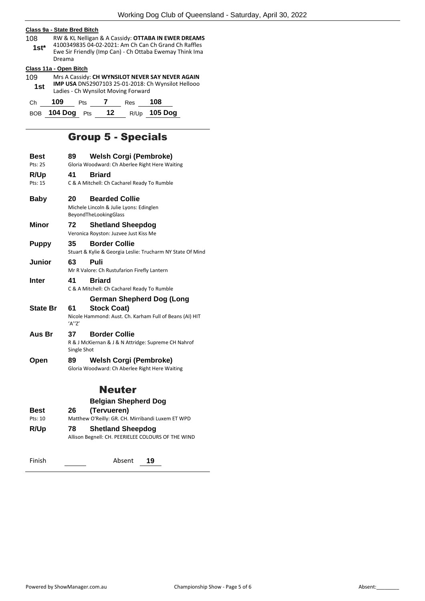## **Class 9a - State Bred Bitch**

108 RW & KL Nelligan & A Cassidy: **OTTABA IN EWER DREAMS** 4100349835 04-02-2021: Am Ch Can Ch Grand Ch Raffles Ewe Sir Friendly (Imp Can) - Ch Ottaba Ewemay Think Ima Dreama **1st\***

## **Class 11a - Open Bitch**

| .   |     | ---------- |                                     |     |                                                    |
|-----|-----|------------|-------------------------------------|-----|----------------------------------------------------|
| 109 |     |            |                                     |     | Mrs A Cassidy: CH WYNSILOT NEVER SAY NEVER AGAIN   |
| 1st |     |            |                                     |     | IMP USA DN52907103 25-01-2018: Ch Wynsilot Hellooo |
|     |     |            | Ladies - Ch Wynsilot Moving Forward |     |                                                    |
| Ch  | 109 | <b>Pts</b> | Res                                 | 108 |                                                    |
|     |     |            |                                     |     |                                                    |

BOB **104 Dog** Pts **12** R/Up **105 Dog**

# Group 5 - Specials

| Best<br>Pts: 25 | 89                | <b>Welsh Corgi (Pembroke)</b><br>Gloria Woodward: Ch Aberlee Right Here Waiting           |
|-----------------|-------------------|-------------------------------------------------------------------------------------------|
| R/Up<br>Pts: 15 | 41                | <b>Briard</b><br>C & A Mitchell: Ch Cacharel Ready To Rumble                              |
| <b>Baby</b>     | 20                | <b>Bearded Collie</b><br>Michele Lincoln & Julie Lyons: Edinglen<br>BeyondTheLookingGlass |
| Minor           | 72                | <b>Shetland Sheepdog</b><br>Veronica Royston: Juzvee Just Kiss Me                         |
| <b>Puppy</b>    | 35                | <b>Border Collie</b><br>Stuart & Kylie & Georgia Leslie: Trucharm NY State Of Mind        |
| <b>Junior</b>   | 63                | Puli<br>Mr R Valore: Ch Rustufarion Firefly Lantern                                       |
| <b>Inter</b>    | 41                | <b>Briard</b><br>C & A Mitchell: Ch Cacharel Ready To Rumble                              |
|                 |                   | German Shepherd Dog (Long                                                                 |
| <b>State Br</b> | 61<br>'A''Z'      | <b>Stock Coat)</b><br>Nicole Hammond: Aust. Ch. Karham Full of Beans (AI) HIT             |
| Aus Br          | 37<br>Single Shot | <b>Border Collie</b><br>R & J McKiernan & J & N Attridge: Supreme CH Nahrof               |
| Open            | 89                | <b>Welsh Corgi (Pembroke)</b><br>Gloria Woodward: Ch Aberlee Right Here Waiting           |
|                 |                   | <b>Neuter</b>                                                                             |
|                 |                   | <b>Belgian Shepherd Dog</b>                                                               |
| Best            | 26                | (Tervueren)                                                                               |

| Matthew O'Reilly: GR. CH. Mirribandi Luxem ET WPD<br>Pts: 10<br>R/Up<br><b>Shetland Sheepdog</b><br>78.<br>Allison Begnell: CH. PEERIELEE COLOURS OF THE WIND | best |
|---------------------------------------------------------------------------------------------------------------------------------------------------------------|------|
|                                                                                                                                                               |      |
|                                                                                                                                                               |      |
|                                                                                                                                                               |      |

Finish Absent **19**